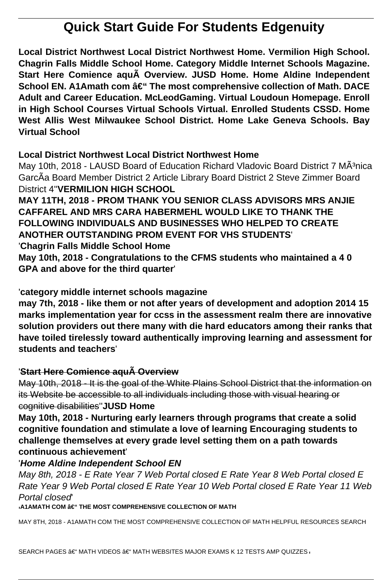# **Quick Start Guide For Students Edgenuity**

**Local District Northwest Local District Northwest Home. Vermilion High School. Chagrin Falls Middle School Home. Category Middle Internet Schools Magazine. Start Here Comience aquà Overview. JUSD Home. Home Aldine Independent School EN. A1Amath com – The most comprehensive collection of Math. DACE Adult and Career Education. McLeodGaming. Virtual Loudoun Homepage. Enroll in High School Courses Virtual Schools Virtual. Enrolled Students CSSD. Home West Allis West Milwaukee School District. Home Lake Geneva Schools. Bay Virtual School**

## **Local District Northwest Local District Northwest Home**

May 10th, 2018 - LAUSD Board of Education Richard Vladovic Board District 7 MÂ<sup>3</sup>nica GarcÃa Board Member District 2 Article Library Board District 2 Steve Zimmer Board District 4''**VERMILION HIGH SCHOOL**

**MAY 11TH, 2018 - PROM THANK YOU SENIOR CLASS ADVISORS MRS ANJIE CAFFAREL AND MRS CARA HABERMEHL WOULD LIKE TO THANK THE FOLLOWING INDIVIDUALS AND BUSINESSES WHO HELPED TO CREATE ANOTHER OUTSTANDING PROM EVENT FOR VHS STUDENTS**' '**Chagrin Falls Middle School Home**

**May 10th, 2018 - Congratulations to the CFMS students who maintained a 4 0 GPA and above for the third quarter**'

'**category middle internet schools magazine**

**may 7th, 2018 - like them or not after years of development and adoption 2014 15 marks implementation year for ccss in the assessment realm there are innovative solution providers out there many with die hard educators among their ranks that have toiled tirelessly toward authentically improving learning and assessment for students and teachers**'

## '**Start Here Comience aquà Overview**

May 10th, 2018 - It is the goal of the White Plains School District that the information on its Website be accessible to all individuals including those with visual hearing or cognitive disabilities''**JUSD Home**

**May 10th, 2018 - Nurturing early learners through programs that create a solid cognitive foundation and stimulate a love of learning Encouraging students to challenge themselves at every grade level setting them on a path towards continuous achievement**'

## '**Home Aldine Independent School EN**

May 8th, 2018 - E Rate Year 7 Web Portal closed E Rate Year 8 Web Portal closed E Rate Year 9 Web Portal closed E Rate Year 10 Web Portal closed E Rate Year 11 Web Portal closed'

**IA1AMATH COM – THE MOST COMPREHENSIVE COLLECTION OF MATH** 

MAY 8TH, 2018 - A1AMATH COM THE MOST COMPREHENSIVE COLLECTION OF MATH HELPFUL RESOURCES SEARCH